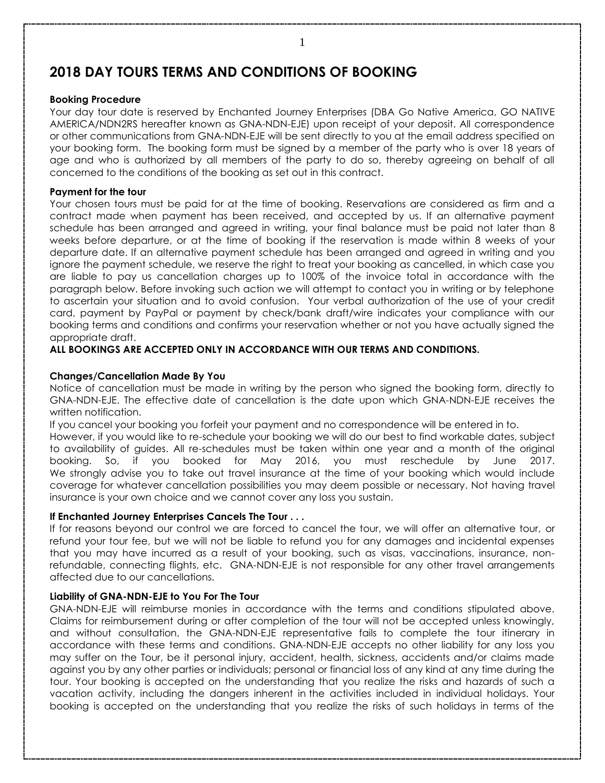# **2018 DAY TOURS TERMS AND CONDITIONS OF BOOKING**

#### **Booking Procedure**

Your day tour date is reserved by Enchanted Journey Enterprises (DBA Go Native America, GO NATIVE AMERICA/NDN2RS hereafter known as GNA-NDN-EJE) upon receipt of your deposit. All correspondence or other communications from GNA-NDN-EJE will be sent directly to you at the email address specified on your booking form. The booking form must be signed by a member of the party who is over 18 years of age and who is authorized by all members of the party to do so, thereby agreeing on behalf of all concerned to the conditions of the booking as set out in this contract.

#### **Payment for the tour**

Your chosen tours must be paid for at the time of booking. Reservations are considered as firm and a contract made when payment has been received, and accepted by us. If an alternative payment schedule has been arranged and agreed in writing, your final balance must be paid not later than 8 weeks before departure, or at the time of booking if the reservation is made within 8 weeks of your departure date. If an alternative payment schedule has been arranged and agreed in writing and you ignore the payment schedule, we reserve the right to treat your booking as cancelled, in which case you are liable to pay us cancellation charges up to 100% of the invoice total in accordance with the paragraph below. Before invoking such action we will attempt to contact you in writing or by telephone to ascertain your situation and to avoid confusion. Your verbal authorization of the use of your credit card, payment by PayPal or payment by check/bank draft/wire indicates your compliance with our booking terms and conditions and confirms your reservation whether or not you have actually signed the appropriate draft.

# **ALL BOOKINGS ARE ACCEPTED ONLY IN ACCORDANCE WITH OUR TERMS AND CONDITIONS.**

#### **Changes/Cancellation Made By You**

Notice of cancellation must be made in writing by the person who signed the booking form, directly to GNA-NDN-EJE. The effective date of cancellation is the date upon which GNA-NDN-EJE receives the written notification.

If you cancel your booking you forfeit your payment and no correspondence will be entered in to.

However, if you would like to re-schedule your booking we will do our best to find workable dates, subject to availability of guides. All re-schedules must be taken within one year and a month of the original booking. So, if you booked for May 2016, you must reschedule by June 2017. We strongly advise you to take out travel insurance at the time of your booking which would include coverage for whatever cancellation possibilities you may deem possible or necessary. Not having travel insurance is your own choice and we cannot cover any loss you sustain.

# **If Enchanted Journey Enterprises Cancels The Tour . . .**

If for reasons beyond our control we are forced to cancel the tour, we will offer an alternative tour, or refund your tour fee, but we will not be liable to refund you for any damages and incidental expenses that you may have incurred as a result of your booking, such as visas, vaccinations, insurance, nonrefundable, connecting flights, etc. GNA-NDN-EJE is not responsible for any other travel arrangements affected due to our cancellations.

# **Liability of GNA-NDN-EJE to You For The Tour**

GNA-NDN-EJE will reimburse monies in accordance with the terms and conditions stipulated above. Claims for reimbursement during or after completion of the tour will not be accepted unless knowingly, and without consultation, the GNA-NDN-EJE representative fails to complete the tour itinerary in accordance with these terms and conditions. GNA-NDN-EJE accepts no other liability for any loss you may suffer on the Tour, be it personal injury, accident, health, sickness, accidents and/or claims made against you by any other parties or individuals; personal or financial loss of any kind at any time during the tour. Your booking is accepted on the understanding that you realize the risks and hazards of such a vacation activity, including the dangers inherent in the activities included in individual holidays. Your booking is accepted on the understanding that you realize the risks of such holidays in terms of the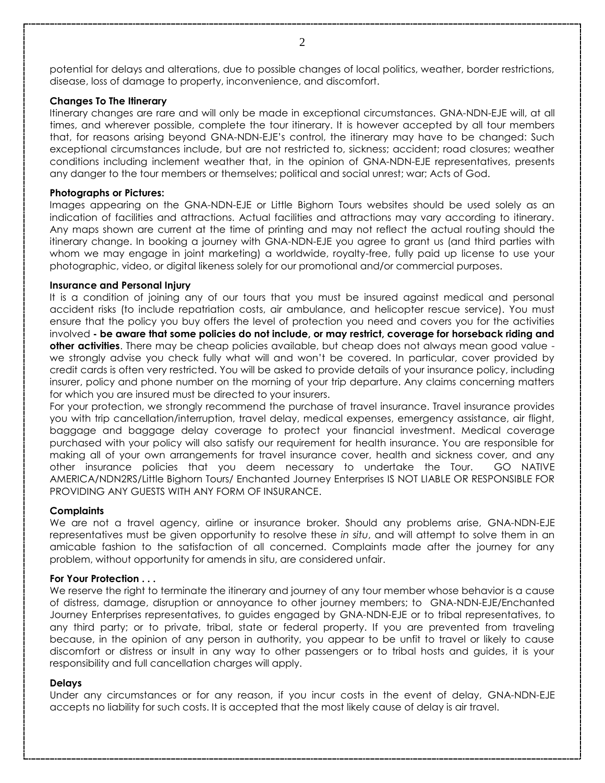potential for delays and alterations, due to possible changes of local politics, weather, border restrictions, disease, loss of damage to property, inconvenience, and discomfort.

#### **Changes To The Itinerary**

Itinerary changes are rare and will only be made in exceptional circumstances. GNA-NDN-EJE will, at all times, and wherever possible, complete the tour itinerary. It is however accepted by all tour members that, for reasons arising beyond GNA-NDN-EJE's control, the itinerary may have to be changed: Such exceptional circumstances include, but are not restricted to, sickness; accident; road closures; weather conditions including inclement weather that, in the opinion of GNA-NDN-EJE representatives, presents any danger to the tour members or themselves; political and social unrest; war; Acts of God.

#### **Photographs or Pictures:**

Images appearing on the GNA-NDN-EJE or Little Bighorn Tours websites should be used solely as an indication of facilities and attractions. Actual facilities and attractions may vary according to itinerary. Any maps shown are current at the time of printing and may not reflect the actual routing should the itinerary change. In booking a journey with GNA-NDN-EJE you agree to grant us (and third parties with whom we may engage in joint marketing) a worldwide, royalty-free, fully paid up license to use your photographic, video, or digital likeness solely for our promotional and/or commercial purposes.

#### **Insurance and Personal Injury**

It is a condition of joining any of our tours that you must be insured against medical and personal accident risks (to include repatriation costs, air ambulance, and helicopter rescue service). You must ensure that the policy you buy offers the level of protection you need and covers you for the activities involved **- be aware that some policies do not include, or may restrict, coverage for horseback riding and other activities**. There may be cheap policies available, but cheap does not always mean good value we strongly advise you check fully what will and won't be covered. In particular, cover provided by credit cards is often very restricted. You will be asked to provide details of your insurance policy, including insurer, policy and phone number on the morning of your trip departure. Any claims concerning matters for which you are insured must be directed to your insurers.

For your protection, we strongly recommend the purchase of travel insurance. Travel insurance provides you with trip cancellation/interruption, travel delay, medical expenses, emergency assistance, air flight, baggage and baggage delay coverage to protect your financial investment. Medical coverage purchased with your policy will also satisfy our requirement for health insurance. You are responsible for making all of your own arrangements for travel insurance cover, health and sickness cover, and any other insurance policies that you deem necessary to undertake the Tour. GO NATIVE AMERICA/NDN2RS/Little Bighorn Tours/ Enchanted Journey Enterprises IS NOT LIABLE OR RESPONSIBLE FOR PROVIDING ANY GUESTS WITH ANY FORM OF INSURANCE.

# **Complaints**

We are not a travel agency, airline or insurance broker. Should any problems arise, GNA-NDN-EJE representatives must be given opportunity to resolve these *in situ*, and will attempt to solve them in an amicable fashion to the satisfaction of all concerned. Complaints made after the journey for any problem, without opportunity for amends in situ, are considered unfair.

#### **For Your Protection . . .**

We reserve the right to terminate the itinerary and journey of any tour member whose behavior is a cause of distress, damage, disruption or annoyance to other journey members; to GNA-NDN-EJE/Enchanted Journey Enterprises representatives, to guides engaged by GNA-NDN-EJE or to tribal representatives, to any third party; or to private, tribal, state or federal property. If you are prevented from traveling because, in the opinion of any person in authority, you appear to be unfit to travel or likely to cause discomfort or distress or insult in any way to other passengers or to tribal hosts and guides, it is your responsibility and full cancellation charges will apply.

# **Delays**

Under any circumstances or for any reason, if you incur costs in the event of delay, GNA-NDN-EJE accepts no liability for such costs. It is accepted that the most likely cause of delay is air travel.